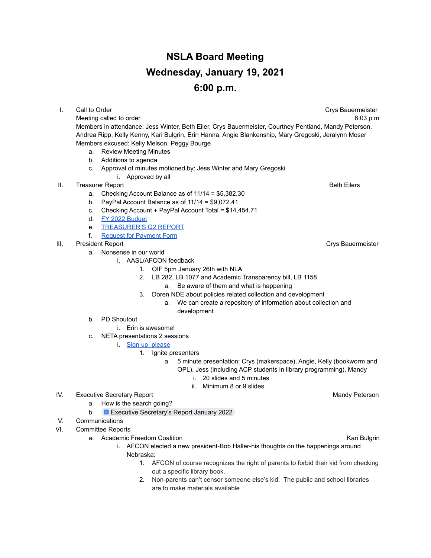## **NSLA Board Meeting Wednesday, January 19, 2021 6:00 p.m.**

**I.** Call to Order Crys Bauermeister Crys Bauermeister Crys Bauermeister Crys Bauermeister Meeting called to order 6:03 p.m Members in attendance: Jess Winter, Beth Eiler, Crys Bauermeister, Courtney Pentland, Mandy Peterson, Andrea Ripp, Kelly Kenny, Kari Bulgrin, Erin Hanna, Angie Blankenship, Mary Gregoski, Jeralynn Moser Members excused: Kelly Melson, Peggy Bourge a. Review Meeting Minutes b. Additions to agenda c. Approval of minutes motioned by: Jess Winter and Mary Gregoski i. Approved by all **II.** Treasurer Report **Beth Eilers** and the set of the set of the set of the set of the set of the set of the set of the set of the set of the set of the set of the set of the set of the set of the set of the set of the s a. Checking Account Balance as of 11/14 = \$5,382.30 b. PayPal Account Balance as of 11/14 = \$9,072.41 c. Checking Account + PayPal Account Total = \$14,454.71 d. [FY 2022 Budget](https://drive.google.com/file/d/1pUcrVLyS72Cilwvyzo3X_pMYGaFM73Jd/view?usp=sharing) e. [TREASURER'S Q2 REPORT](https://drive.google.com/file/d/1ioQg9Y50WlS9-uHJqbvgxfvlUP_jWPd0/view?usp=sharing) f. [Request for Payment Form](https://forms.gle/MH9Q1BZntiqhndyN9) III. President Report Crys Bauermeister a. Nonsense in our world i. AASL/AFCON feedback 1. OIF 5pm January 26th with NLA 2. LB 282, LB 1077 and Academic Transparency bill, LB 1158 a. Be aware of them and what is happening 3. Doren NDE about policies related collection and development a. We can create a repository of information about collection and development b. PD Shoutout i. Erin is awesome! c. NETA presentations 2 sessions i. [Sign up, please](https://docs.google.com/document/d/1ptbZK2YVDoLBmd3eSGVdU-JMkSYo6prDo6Lu-pu6JW4/edit?usp=sharing) 1. Ignite presenters a. 5 minute presentation: Crys (makerspace), Angie, Kelly (bookworm and OPL), Jess (including ACP students in library programming), Mandy i. 20 slides and 5 minutes ii. Minimum 8 or 9 slides IV. Executive Secretary Report **Mandy Peterson** Mandy Peterson a. How is the search going? b. **E** [Executive Secretary's Report January 2022](https://docs.google.com/document/d/11Ml07dRAU3zcZweOpCsJZsk971ANAvcPAmSWp2dULew/edit?usp=sharing) V. Communications VI. Committee Reports a. Academic Freedom Coalition **Kari Bulgrin** Kari Bulgrin i. AFCON elected a new president-Bob Haller-his thoughts on the happenings around Nebraska:

- 1. AFCON of course recognizes the right of parents to forbid their kid from checking out a specific library book.
- 2. Non-parents can't censor someone else's kid. The public and school libraries are to make materials available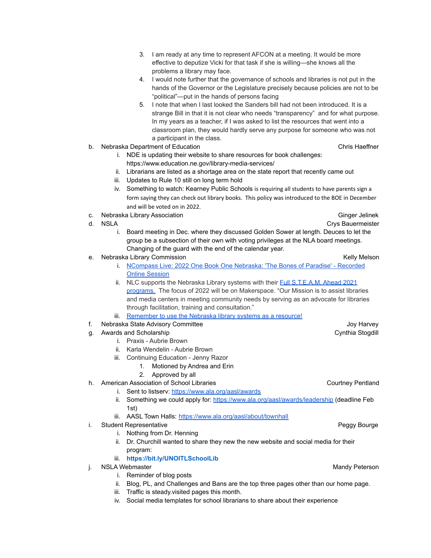- 3. I am ready at any time to represent AFCON at a meeting. It would be more effective to deputize Vicki for that task if she is willing—she knows all the problems a library may face.
- 4. I would note further that the governance of schools and libraries is not put in the hands of the Governor or the Legislature precisely because policies are not to be "political"—put in the hands of persons facing
- 5. I note that when I last looked the Sanders bill had not been introduced. It is a strange Bill in that it is not clear who needs "transparency" and for what purpose. In my years as a teacher, if I was asked to list the resources that went into a classroom plan, they would hardly serve any purpose for someone who was not a participant in the class.
- b. Nebraska Department of Education Chris Haeffner Chris Haeffner

- i. NDE is updating their website to share resources for book challenges: https://www.education.ne.gov/library-media-services/
- ii. Librarians are listed as a shortage area on the state report that recently came out
- iii. Updates to Rule 10 still on long term hold
- iv. Something to watch: Kearney Public Schools is requiring all students to have parents sign a form saying they can check out library books. This policy was introduced to the BOE in December and will be voted on in 2022.
- c. Nebraska Library Association Ginger Jelinek City and The Ginger Jelinek City and Ginger Jelinek
- - i. Board meeting in Dec. where they discussed Golden Sower at length. Deuces to let the group be a subsection of their own with voting privileges at the NLA board meetings. Changing of the guard with the end of the calendar year.
- e. Nebraska Library Commission New York New York New York Nelson Kelly Melson
	- i. [NCompass Live: 2022 One Book One Nebraska: 'The Bones of Paradise' Recorded](https://nlc.nebraska.gov/scripts/calendar/eventshow.asp?ProgID=21440) [Online Session](https://nlc.nebraska.gov/scripts/calendar/eventshow.asp?ProgID=21440)
	- ii. NLC supports the Nebraska Library systems with their [Full S.T.E.A.M. Ahead 2021](http://libraries.ne.gov/cpls/fsa-february/) [programs.](http://libraries.ne.gov/cpls/fsa-february/) The focus of 2022 will be on Makerspace. "Our Mission is to assist libraries and media centers in meeting community needs by serving as an advocate for libraries through facilitation, training and consultation."
	- iii. [Remember to use the Nebraska library systems as a resource!](http://libraries.ne.gov/cpls/about-us/)
- f. Nebraska State Advisory Committee **Figure 2018** 100 Harvey Joy Harvey
- g. Awards and Scholarship Cynthia Stogdill and Scholarship Cynthia Stogdill
	- i. Praxis Aubrie Brown
	- ii. Karla Wendelin Aubrie Brown
	- iii. Continuing Education Jenny Razor
		- 1. Motioned by Andrea and Erin
		- 2. Approved by all
- h. American Association of School Libraries Courtney Pentland Courtney Pentland
	- i. Sent to listserv: <https://www.ala.org/aasl/awards>
	- ii. Something we could apply for: <https://www.ala.org/aasl/awards/leadership> (deadline Feb 1st)
	- iii. AASL Town Halls: <https://www.ala.org/aasl/about/townhall>
- i. Student Representative **Peggy Bourge Peggy Bourge Peggy Bourge Peggy Bourge** 
	- i. Nothing from Dr. Henning
	- ii. Dr. Churchill wanted to share they new the new website and social media for their program:
	- iii. **[https://bit.ly/UNOITLSchoolLib](https://urldefense.com/v3/__https:/l.facebook.com/l.php?u=https*3A*2F*2Fbit.ly*2FUNOITLSchoolLib*3Ffbclid*3DIwAR1tnpgtMdB7VCFxE_33pMmQ_Vx7ggMFiaBj800ZqH3_grdgrqTexI5Z3Ig&h=AT0p1k5vOp2cwZzzyC0-X7PNdiDpBiRFVw71vGX4SexElxS66hvlrj6s-rOEd20VWrZLMzl-_FD8LPHK_4ksYdPiv6d18Gne_kZEAt23ym-P9tyyc9TTY5UD2vqTbSKbB9GZS-M&__tn__=-UK-R&c*5b0*5d=AT3sKPV772phgdcfkZDLzEZ6j94dZs3X0lYzsP8iRPuwvkXuRrgYtL5ACqU_sO4piAofofLsCCIiFlIch1BTcN3FSh4sK3oe5n8XNpU4B9j5y4_kMf1QuT4mntZ_4UA6ZnK1ykDxzbUNY9FFbMhYVN-bPg__;JSUlJSUlJSU!!PvXuogZ4sRB2p-tU!Xb0DR2MPNM48w9JgLmU_rsZsQ_JamKN9ottypslhwQ_cRu88-UgtRXd6eL9Q5Tg2E4U$)**
- j. MSLA Webmaster Mandy Peterson Nandy Peterson
	- i. Reminder of blog posts
	- ii. Blog, PL, and Challenges and Bans are the top three pages other than our home page.
	- iii. Traffic is steady.visited pages this month.
	- iv. Social media templates for school librarians to share about their experience

d. NSLA Crys Bauermeister